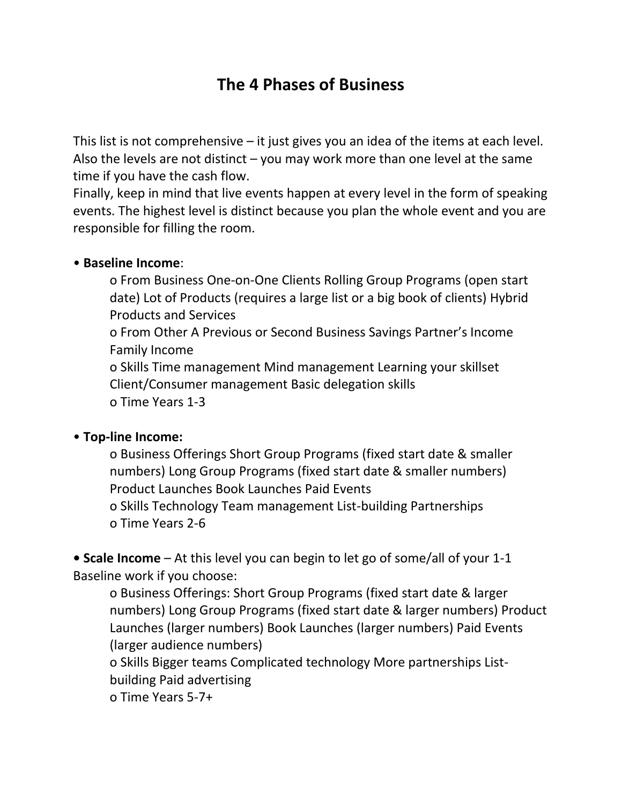# **The 4 Phases of Business**

This list is not comprehensive – it just gives you an idea of the items at each level. Also the levels are not distinct – you may work more than one level at the same time if you have the cash flow.

Finally, keep in mind that live events happen at every level in the form of speaking events. The highest level is distinct because you plan the whole event and you are responsible for filling the room.

#### • **Baseline Income**:

o From Business One-on-One Clients Rolling Group Programs (open start date) Lot of Products (requires a large list or a big book of clients) Hybrid Products and Services

o From Other A Previous or Second Business Savings Partner's Income Family Income

o Skills Time management Mind management Learning your skillset Client/Consumer management Basic delegation skills o Time Years 1-3

#### • **Top-line Income:**

o Business Offerings Short Group Programs (fixed start date & smaller numbers) Long Group Programs (fixed start date & smaller numbers) Product Launches Book Launches Paid Events

o Skills Technology Team management List-building Partnerships o Time Years 2-6

**• Scale Income** – At this level you can begin to let go of some/all of your 1-1 Baseline work if you choose:

o Business Offerings: Short Group Programs (fixed start date & larger numbers) Long Group Programs (fixed start date & larger numbers) Product Launches (larger numbers) Book Launches (larger numbers) Paid Events (larger audience numbers)

o Skills Bigger teams Complicated technology More partnerships Listbuilding Paid advertising

o Time Years 5-7+